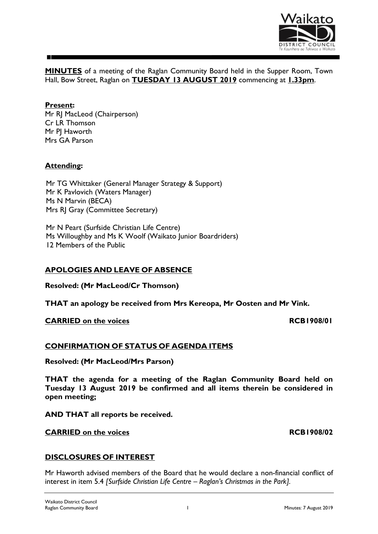

**MINUTES** of a meeting of the Raglan Community Board held in the Supper Room, Town Hall, Bow Street, Raglan on **TUESDAY 13 AUGUST 2019** commencing at **1.33pm**.

## **Present:**

Mr RJ MacLeod (Chairperson) Cr LR Thomson Mr PI Haworth Mrs GA Parson

# **Attending:**

Mr TG Whittaker (General Manager Strategy & Support) Mr K Pavlovich (Waters Manager) Ms N Marvin (BECA) Mrs RJ Gray (Committee Secretary)

Mr N Peart (Surfside Christian Life Centre) Ms Willoughby and Ms K Woolf (Waikato Junior Boardriders) 12 Members of the Public

# **APOLOGIES AND LEAVE OF ABSENCE**

**Resolved: (Mr MacLeod/Cr Thomson)**

**THAT an apology be received from Mrs Kereopa, Mr Oosten and Mr Vink.**

## **CARRIED** on the voices **RCB1908/01**

## **CONFIRMATION OF STATUS OF AGENDA ITEMS**

**Resolved: (Mr MacLeod/Mrs Parson)**

**THAT the agenda for a meeting of the Raglan Community Board held on Tuesday 13 August 2019 be confirmed and all items therein be considered in open meeting;**

**AND THAT all reports be received.**

#### **CARRIED on the voices RCB1908/02**

## **DISCLOSURES OF INTEREST**

Mr Haworth advised members of the Board that he would declare a non-financial conflict of interest in item 5.4 *[Surfside Christian Life Centre – Raglan's Christmas in the Park].*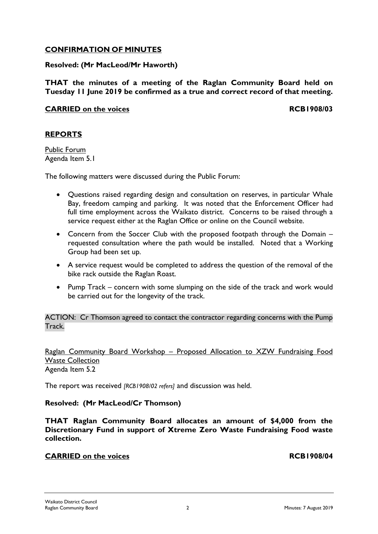# **CONFIRMATION OF MINUTES**

# **Resolved: (Mr MacLeod/Mr Haworth)**

**THAT the minutes of a meeting of the Raglan Community Board held on Tuesday 11 June 2019 be confirmed as a true and correct record of that meeting.**

# **CARRIED on the voices RCB1908/03**

# **REPORTS**

Public Forum Agenda Item 5.1

The following matters were discussed during the Public Forum:

- Questions raised regarding design and consultation on reserves, in particular Whale Bay, freedom camping and parking. It was noted that the Enforcement Officer had full time employment across the Waikato district. Concerns to be raised through a service request either at the Raglan Office or online on the Council website.
- Concern from the Soccer Club with the proposed footpath through the Domain requested consultation where the path would be installed. Noted that a Working Group had been set up.
- A service request would be completed to address the question of the removal of the bike rack outside the Raglan Roast.
- Pump Track concern with some slumping on the side of the track and work would be carried out for the longevity of the track.

ACTION: Cr Thomson agreed to contact the contractor regarding concerns with the Pump **Track** 

Raglan Community Board Workshop – Proposed Allocation to XZW Fundraising Food Waste Collection Agenda Item 5.2

The report was received *[RCB1908/02 refers]* and discussion was held.

## **Resolved: (Mr MacLeod/Cr Thomson)**

**THAT Raglan Community Board allocates an amount of \$4,000 from the Discretionary Fund in support of Xtreme Zero Waste Fundraising Food waste collection.**

## **CARRIED on the voices RCB1908/04**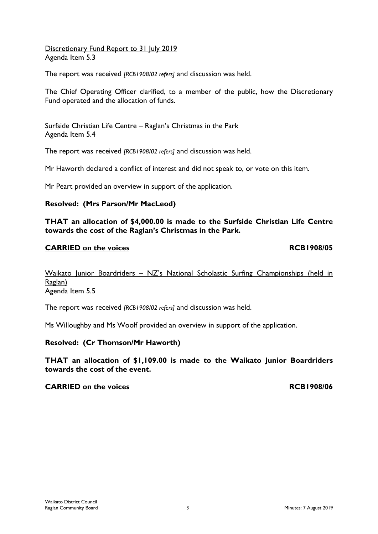Waikato Junior Boardriders - NZ's National Scholastic Surfing Championships (held in Raglan) Agenda Item 5.5

**THAT an allocation of \$4,000.00 is made to the Surfside Christian Life Centre** 

The report was received *[RCB1908/02 refers]* and discussion was held.

Ms Willoughby and Ms Woolf provided an overview in support of the application.

## **Resolved: (Cr Thomson/Mr Haworth)**

**THAT an allocation of \$1,109.00 is made to the Waikato Junior Boardriders towards the cost of the event.**

#### **CARRIED** on the voices **RCB1908/06**

Discretionary Fund Report to 31 July 2019 Agenda Item 5.3

The report was received *[RCB1908/02 refers]* and discussion was held.

The Chief Operating Officer clarified, to a member of the public, how the Discretionary Fund operated and the allocation of funds.

Surfside Christian Life Centre – Raglan's Christmas in the Park Agenda Item 5.4

The report was received *[RCB1908/02 refers]* and discussion was held.

Mr Haworth declared a conflict of interest and did not speak to, or vote on this item.

Mr Peart provided an overview in support of the application.

**towards the cost of the Raglan's Christmas in the Park.**

# **Resolved: (Mrs Parson/Mr MacLeod)**

# **CARRIED** on the voices **RCB1908/05**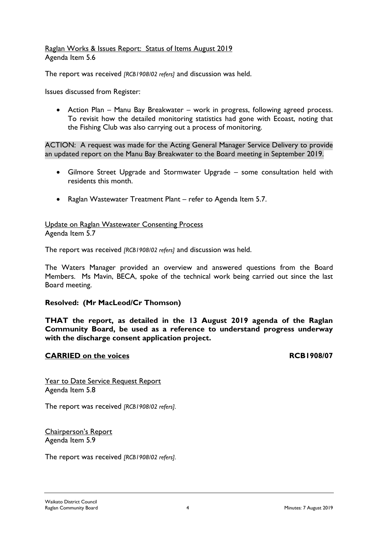## Raglan Works & Issues Report: Status of Items August 2019 Agenda Item 5.6

The report was received *[RCB1908/02 refers]* and discussion was held.

Issues discussed from Register:

 Action Plan – Manu Bay Breakwater – work in progress, following agreed process. To revisit how the detailed monitoring statistics had gone with Ecoast, noting that the Fishing Club was also carrying out a process of monitoring.

ACTION: A request was made for the Acting General Manager Service Delivery to provide an updated report on the Manu Bay Breakwater to the Board meeting in September 2019.

- Gilmore Street Upgrade and Stormwater Upgrade some consultation held with residents this month.
- Raglan Wastewater Treatment Plant refer to Agenda Item 5.7.

Update on Raglan Wastewater Consenting Process Agenda Item 5.7

The report was received *[RCB1908/02 refers]* and discussion was held.

The Waters Manager provided an overview and answered questions from the Board Members. Ms Mavin, BECA, spoke of the technical work being carried out since the last Board meeting.

#### **Resolved: (Mr MacLeod/Cr Thomson)**

**THAT the report, as detailed in the 13 August 2019 agenda of the Raglan Community Board, be used as a reference to understand progress underway with the discharge consent application project.**

#### **CARRIED** on the voices **RCB1908/07**

Year to Date Service Request Report Agenda Item 5.8

The report was received *[RCB1908/02 refers].*

Chairperson's Report Agenda Item 5.9

The report was received *[RCB1908/02 refers].*